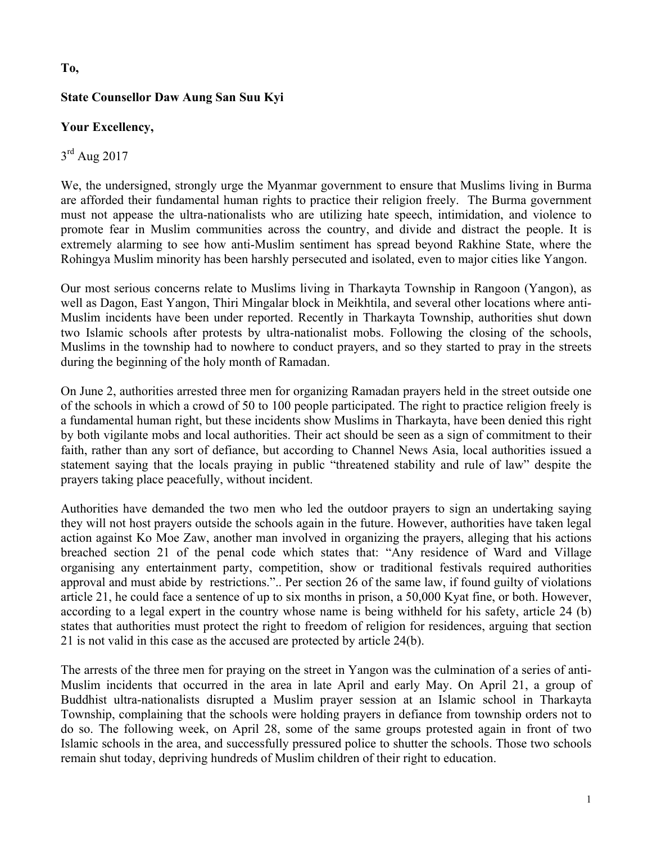## **To,**

## **State Counsellor Daw Aung San Suu Kyi**

### **Your Excellency,**

# $3<sup>rd</sup>$  Aug 2017

We, the undersigned, strongly urge the Myanmar government to ensure that Muslims living in Burma are afforded their fundamental human rights to practice their religion freely. The Burma government must not appease the ultra-nationalists who are utilizing hate speech, intimidation, and violence to promote fear in Muslim communities across the country, and divide and distract the people. It is extremely alarming to see how anti-Muslim sentiment has spread beyond Rakhine State, where the Rohingya Muslim minority has been harshly persecuted and isolated, even to major cities like Yangon.

Our most serious concerns relate to Muslims living in Tharkayta Township in Rangoon (Yangon), as well as Dagon, East Yangon, Thiri Mingalar block in Meikhtila, and several other locations where anti-Muslim incidents have been under reported. Recently in Tharkayta Township, authorities shut down two Islamic schools after protests by ultra-nationalist mobs. Following the closing of the schools, Muslims in the township had to nowhere to conduct prayers, and so they started to pray in the streets during the beginning of the holy month of Ramadan.

On June 2, authorities arrested three men for organizing Ramadan prayers held in the street outside one of the schools in which a crowd of 50 to 100 people participated. The right to practice religion freely is a fundamental human right, but these incidents show Muslims in Tharkayta, have been denied this right by both vigilante mobs and local authorities. Their act should be seen as a sign of commitment to their faith, rather than any sort of defiance, but according to Channel News Asia, local authorities issued a statement saying that the locals praying in public "threatened stability and rule of law" despite the prayers taking place peacefully, without incident.

Authorities have demanded the two men who led the outdoor prayers to sign an undertaking saying they will not host prayers outside the schools again in the future. However, authorities have taken legal action against Ko Moe Zaw, another man involved in organizing the prayers, alleging that his actions breached section 21 of the penal code which states that: "Any residence of Ward and Village organising any entertainment party, competition, show or traditional festivals required authorities approval and must abide by restrictions.".. Per section 26 of the same law, if found guilty of violations article 21, he could face a sentence of up to six months in prison, a 50,000 Kyat fine, or both. However, according to a legal expert in the country whose name is being withheld for his safety, article 24 (b) states that authorities must protect the right to freedom of religion for residences, arguing that section 21 is not valid in this case as the accused are protected by article 24(b).

The arrests of the three men for praying on the street in Yangon was the culmination of a series of anti-Muslim incidents that occurred in the area in late April and early May. On April 21, a group of Buddhist ultra-nationalists disrupted a Muslim prayer session at an Islamic school in Tharkayta Township, complaining that the schools were holding prayers in defiance from township orders not to do so. The following week, on April 28, some of the same groups protested again in front of two Islamic schools in the area, and successfully pressured police to shutter the schools. Those two schools remain shut today, depriving hundreds of Muslim children of their right to education.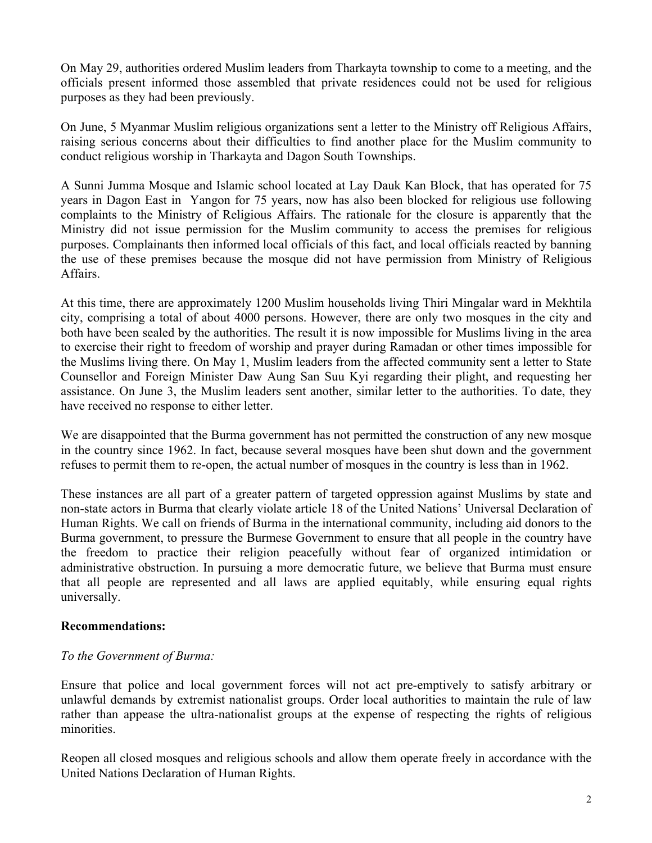On May 29, authorities ordered Muslim leaders from Tharkayta township to come to a meeting, and the officials present informed those assembled that private residences could not be used for religious purposes as they had been previously.

On June, 5 Myanmar Muslim religious organizations sent a letter to the Ministry off Religious Affairs, raising serious concerns about their difficulties to find another place for the Muslim community to conduct religious worship in Tharkayta and Dagon South Townships.

A Sunni Jumma Mosque and Islamic school located at Lay Dauk Kan Block, that has operated for 75 years in Dagon East in Yangon for 75 years, now has also been blocked for religious use following complaints to the Ministry of Religious Affairs. The rationale for the closure is apparently that the Ministry did not issue permission for the Muslim community to access the premises for religious purposes. Complainants then informed local officials of this fact, and local officials reacted by banning the use of these premises because the mosque did not have permission from Ministry of Religious Affairs.

At this time, there are approximately 1200 Muslim households living Thiri Mingalar ward in Mekhtila city, comprising a total of about 4000 persons. However, there are only two mosques in the city and both have been sealed by the authorities. The result it is now impossible for Muslims living in the area to exercise their right to freedom of worship and prayer during Ramadan or other times impossible for the Muslims living there. On May 1, Muslim leaders from the affected community sent a letter to State Counsellor and Foreign Minister Daw Aung San Suu Kyi regarding their plight, and requesting her assistance. On June 3, the Muslim leaders sent another, similar letter to the authorities. To date, they have received no response to either letter.

We are disappointed that the Burma government has not permitted the construction of any new mosque in the country since 1962. In fact, because several mosques have been shut down and the government refuses to permit them to re-open, the actual number of mosques in the country is less than in 1962.

These instances are all part of a greater pattern of targeted oppression against Muslims by state and non-state actors in Burma that clearly violate article 18 of the United Nations' Universal Declaration of Human Rights. We call on friends of Burma in the international community, including aid donors to the Burma government, to pressure the Burmese Government to ensure that all people in the country have the freedom to practice their religion peacefully without fear of organized intimidation or administrative obstruction. In pursuing a more democratic future, we believe that Burma must ensure that all people are represented and all laws are applied equitably, while ensuring equal rights universally.

### **Recommendations:**

### *To the Government of Burma:*

Ensure that police and local government forces will not act pre-emptively to satisfy arbitrary or unlawful demands by extremist nationalist groups. Order local authorities to maintain the rule of law rather than appease the ultra-nationalist groups at the expense of respecting the rights of religious minorities.

Reopen all closed mosques and religious schools and allow them operate freely in accordance with the United Nations Declaration of Human Rights.